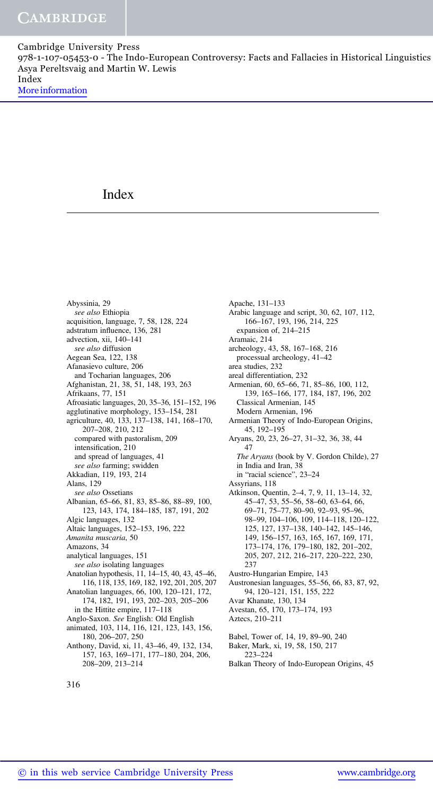978-1-107-05453-0 - The Indo-European Controversy: Facts and Fallacies in Historical Linguistics Asya Pereltsvaig and Martin W. Lewis Index

More information

# Index

Abyssinia, 29 see also Ethiopia acquisition, language, 7, 58, 128, 224 adstratum influence, 136, 281 advection, xii, 140–141 see also diffusion Aegean Sea, 122, 138 Afanasievo culture, 206 and Tocharian languages, 206 Afghanistan, 21, 38, 51, 148, 193, 263 Afrikaans, 77, 151 Afroasiatic languages, 20, 35–36, 151–152, 196 agglutinative morphology, 153–154, 281 agriculture, 40, 133, 137–138, 141, 168–170, 207–208, 210, 212 compared with pastoralism, 209 intensification, 210 and spread of languages, 41 see also farming; swidden Akkadian, 119, 193, 214 Alans, 129 see also Ossetians Albanian, 65–66, 81, 83, 85–86, 88–89, 100, 123, 143, 174, 184–185, 187, 191, 202 Algic languages, 132 Altaic languages, 152–153, 196, 222 Amanita muscaria, 50 Amazons, 34 analytical languages, 151 see also isolating languages Anatolian hypothesis, 11, 14–15, 40, 43, 45–46, 116, 118, 135, 169, 182, 192, 201, 205, 207 Anatolian languages, 66, 100, 120–121, 172, 174, 182, 191, 193, 202–203, 205–206 in the Hittite empire, 117–118 Anglo-Saxon. See English: Old English animated, 103, 114, 116, 121, 123, 143, 156, 180, 206–207, 250 Anthony, David, xi, 11, 43–46, 49, 132, 134, 157, 163, 169–171, 177–180, 204, 206,

Apache, 131–133 Arabic language and script, 30, 62, 107, 112, 166–167, 193, 196, 214, 225 expansion of, 214–215 Aramaic, 214 archeology, 43, 58, 167–168, 216 processual archeology, 41–42 area studies, 232 areal differentiation, 232 Armenian, 60, 65–66, 71, 85–86, 100, 112, 139, 165–166, 177, 184, 187, 196, 202 Classical Armenian, 145 Modern Armenian, 196 Armenian Theory of Indo-European Origins, 45, 192–195 Aryans, 20, 23, 26–27, 31–32, 36, 38, 44 47 The Aryans (book by V. Gordon Childe), 27 in India and Iran, 38 in "racial science", 23–24 Assyrians, 118 Atkinson, Quentin, 2–4, 7, 9, 11, 13–14, 32, 45–47, 53, 55–56, 58–60, 63–64, 66, 69–71, 75–77, 80–90, 92–93, 95–96, 98–99, 104–106, 109, 114–118, 120–122, 125, 127, 137–138, 140–142, 145–146, 149, 156–157, 163, 165, 167, 169, 171, 173–174, 176, 179–180, 182, 201–202, 205, 207, 212, 216–217, 220–222, 230, 237 Austro-Hungarian Empire, 143 Austronesian languages, 55–56, 66, 83, 87, 92, 94, 120–121, 151, 155, 222 Avar Khanate, 130, 134 Avestan, 65, 170, 173–174, 193 Aztecs, 210–211 Babel, Tower of, 14, 19, 89–90, 240 Baker, Mark, xi, 19, 58, 150, 217 223–224 Balkan Theory of Indo-European Origins, 45

208–209, 213–214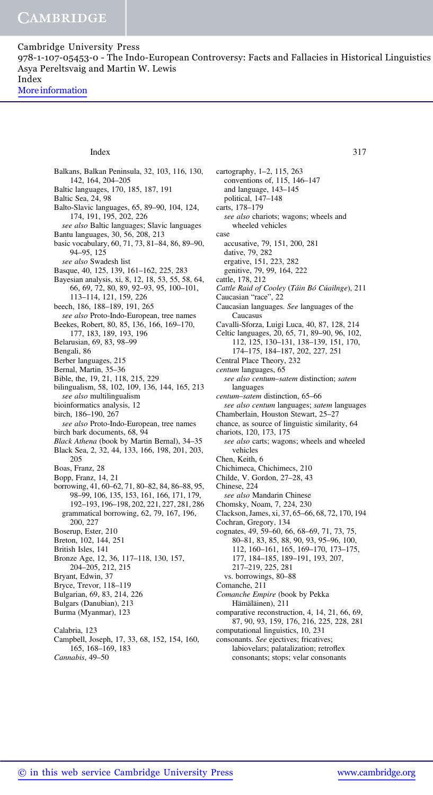978-1-107-05453-0 - The Indo-European Controversy: Facts and Fallacies in Historical Linguistics Asya Pereltsvaig and Martin W. Lewis Index

More information

### Index 317

Balkans, Balkan Peninsula, 32, 103, 116, 130, 142, 164, 204–205 Baltic languages, 170, 185, 187, 191 Baltic Sea, 24, 98 Balto-Slavic languages, 65, 89–90, 104, 124, 174, 191, 195, 202, 226 see also Baltic languages; Slavic languages Bantu languages, 30, 56, 208, 213 basic vocabulary, 60, 71, 73, 81–84, 86, 89–90, 94–95, 125 see also Swadesh list Basque, 40, 125, 139, 161–162, 225, 283 Bayesian analysis, xi, 8, 12, 18, 53, 55, 58, 64, 66, 69, 72, 80, 89, 92–93, 95, 100–101, 113–114, 121, 159, 226 beech, 186, 188–189, 191, 265 see also Proto-Indo-European, tree names Beekes, Robert, 80, 85, 136, 166, 169–170, 177, 183, 189, 193, 196 Belarusian, 69, 83, 98–99 Bengali, 86 Berber languages, 215 Bernal, Martin, 35–36 Bible, the, 19, 21, 118, 215, 229 bilingualism, 58, 102, 109, 136, 144, 165, 213 see also multilingualism bioinformatics analysis, 12 birch, 186–190, 267 see also Proto-Indo-European, tree names birch bark documents, 68, 94 Black Athena (book by Martin Bernal), 34–35 Black Sea, 2, 32, 44, 133, 166, 198, 201, 203, 205 Boas, Franz, 28 Bopp, Franz, 14, 21 borrowing, 41, 60–62, 71, 80–82, 84, 86–88, 95, 98–99, 106, 135, 153, 161, 166, 171, 179, 192–193, 196–198, 202, 221, 227, 281, 286 grammatical borrowing, 62, 79, 167, 196, 200, 227 Boserup, Ester, 210 Breton, 102, 144, 251 British Isles, 141 Bronze Age, 12, 36, 117–118, 130, 157, 204–205, 212, 215 Bryant, Edwin, 37 Bryce, Trevor, 118–119 Bulgarian, 69, 83, 214, 226 Bulgars (Danubian), 213 Burma (Myanmar), 123 Calabria, 123 Campbell, Joseph, 17, 33, 68, 152, 154, 160, 165, 168–169, 183 Cannabis, 49–50

cartography, 1–2, 115, 263 conventions of, 115, 146–147 and language, 143–145 political, 147–148 carts, 178–179 see also chariots; wagons; wheels and wheeled vehicles case accusative, 79, 151, 200, 281 dative, 79, 282 ergative, 151, 223, 282 genitive, 79, 99, 164, 222 cattle, 178, 212 Cattle Raid of Cooley (Táin Bó Cúailnge), 211 Caucasian "race", 22 Caucasian languages. See languages of the **Caucasus** Cavalli-Sforza, Luigi Luca, 40, 87, 128, 214 Celtic languages, 20, 65, 71, 89–90, 96, 102, 112, 125, 130–131, 138–139, 151, 170, 174–175, 184–187, 202, 227, 251 Central Place Theory, 232 centum languages, 65 see also centum–satem distinction; satem languages centum–satem distinction, 65–66 see also centum languages; satem languages Chamberlain, Houston Stewart, 25–27 chance, as source of linguistic similarity, 64 chariots, 120, 173, 175 see also carts; wagons; wheels and wheeled vehicles Chen, Keith, 6 Chichimeca, Chichimecs, 210 Childe, V. Gordon, 27–28, 43 Chinese, 224 see also Mandarin Chinese Chomsky, Noam, 7, 224, 230 Clackson, James, xi, 37, 65–66, 68, 72, 170, 194 Cochran, Gregory, 134 cognates, 49, 59–60, 66, 68–69, 71, 73, 75, 80–81, 83, 85, 88, 90, 93, 95–96, 100, 112, 160–161, 165, 169–170, 173–175, 177, 184–185, 189–191, 193, 207, 217–219, 225, 281 vs. borrowings, 80–88 Comanche, 211 Comanche Empire (book by Pekka Hämäläinen), 211 comparative reconstruction, 4, 14, 21, 66, 69, 87, 90, 93, 159, 176, 216, 225, 228, 281 computational linguistics, 10, 231

consonants. See ejectives; fricatives; labiovelars; palatalization; retroflex consonants; stops; velar consonants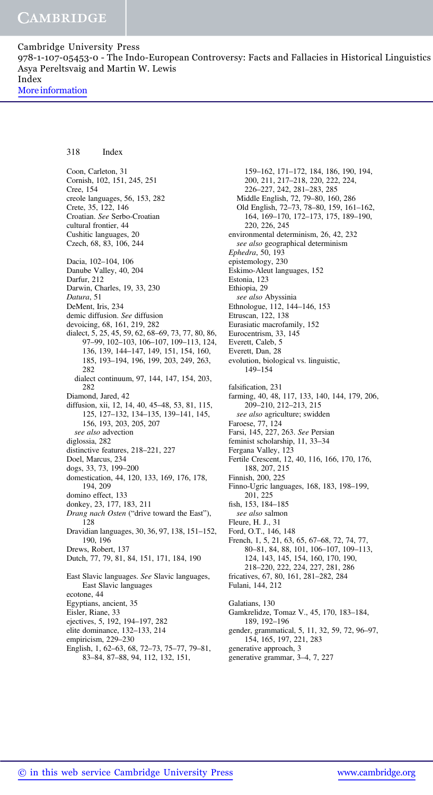978-1-107-05453-0 - The Indo-European Controversy: Facts and Fallacies in Historical Linguistics Asya Pereltsvaig and Martin W. Lewis Index

More information

318 Index

Coon, Carleton, 31 Cornish, 102, 151, 245, 251 Cree, 154 creole languages, 56, 153, 282 Crete, 35, 122, 146 Croatian. See Serbo-Croatian cultural frontier, 44 Cushitic languages, 20 Czech, 68, 83, 106, 244 Dacia, 102–104, 106 Danube Valley, 40, 204 Darfur, 212 Darwin, Charles, 19, 33, 230 Datura, 51 DeMent, Iris, 234 demic diffusion. See diffusion devoicing, 68, 161, 219, 282 dialect, 5, 25, 45, 59, 62, 68–69, 73, 77, 80, 86, 97–99, 102–103, 106–107, 109–113, 124, 136, 139, 144–147, 149, 151, 154, 160, 185, 193–194, 196, 199, 203, 249, 263, 282 dialect continuum, 97, 144, 147, 154, 203, 282 Diamond, Jared, 42 diffusion, xii, 12, 14, 40, 45–48, 53, 81, 115, 125, 127–132, 134–135, 139–141, 145, 156, 193, 203, 205, 207 see also advection diglossia, 282 distinctive features, 218–221, 227 Doel, Marcus, 234 dogs, 33, 73, 199–200 domestication, 44, 120, 133, 169, 176, 178, 194, 209 domino effect, 133 donkey, 23, 177, 183, 211 Drang nach Osten ("drive toward the East"), 128 Dravidian languages, 30, 36, 97, 138, 151–152, 190, 196 Drews, Robert, 137 Dutch, 77, 79, 81, 84, 151, 171, 184, 190 East Slavic languages. See Slavic languages, East Slavic languages ecotone, 44 Egyptians, ancient, 35 Eisler, Riane, 33 ejectives, 5, 192, 194–197, 282 elite dominance, 132–133, 214 empiricism, 229–230 English, 1, 62–63, 68, 72–73, 75–77, 79–81, 83–84, 87–88, 94, 112, 132, 151,

159–162, 171–172, 184, 186, 190, 194, 200, 211, 217–218, 220, 222, 224, 226–227, 242, 281–283, 285 Middle English, 72, 79–80, 160, 286 Old English, 72–73, 78–80, 159, 161–162, 164, 169–170, 172–173, 175, 189–190, 220, 226, 245 environmental determinism, 26, 42, 232 see also geographical determinism Ephedra, 50, 193 epistemology, 230 Eskimo-Aleut languages, 152 Estonia, 123 Ethiopia, 29 see also Abyssinia Ethnologue, 112, 144–146, 153 Etruscan, 122, 138 Eurasiatic macrofamily, 152 Eurocentrism, 33, 145 Everett, Caleb, 5 Everett, Dan, 28 evolution, biological vs. linguistic, 149–154 falsification, 231 farming, 40, 48, 117, 133, 140, 144, 179, 206, 209–210, 212–213, 215 see also agriculture; swidden Faroese, 77, 124 Farsi, 145, 227, 263. See Persian feminist scholarship, 11, 33–34 Fergana Valley, 123 Fertile Crescent, 12, 40, 116, 166, 170, 176, 188, 207, 215 Finnish, 200, 225 Finno-Ugric languages, 168, 183, 198–199, 201, 225 fish, 153, 184–185 see also salmon Fleure, H. J., 31 Ford, O.T., 146, 148 French, 1, 5, 21, 63, 65, 67–68, 72, 74, 77, 80–81, 84, 88, 101, 106–107, 109–113, 124, 143, 145, 154, 160, 170, 190, 218–220, 222, 224, 227, 281, 286 fricatives, 67, 80, 161, 281–282, 284 Fulani, 144, 212 Galatians, 130 Gamkrelidze, Tomaz V., 45, 170, 183–184, 189, 192–196 gender, grammatical, 5, 11, 32, 59, 72, 96–97, 154, 165, 197, 221, 283 generative approach, 3 generative grammar, 3–4, 7, 227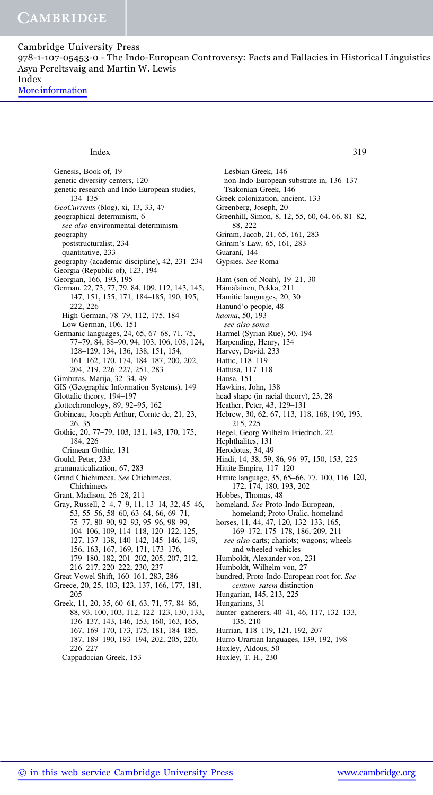978-1-107-05453-0 - The Indo-European Controversy: Facts and Fallacies in Historical Linguistics Asya Pereltsvaig and Martin W. Lewis Index

More information

Genesis, Book of, 19 genetic diversity centers, 120 genetic research and Indo-European studies, 134–135 GeoCurrents (blog), xi, 13, 33, 47 geographical determinism, 6 see also environmental determinism geography poststructuralist, 234 quantitative, 233 geography (academic discipline), 42, 231–234 Georgia (Republic of), 123, 194 Georgian, 166, 193, 195 German, 22, 73, 77, 79, 84, 109, 112, 143, 145, 147, 151, 155, 171, 184–185, 190, 195, 222, 226 High German, 78–79, 112, 175, 184 Low German, 106, 151 Germanic languages, 24, 65, 67–68, 71, 75, 77–79, 84, 88–90, 94, 103, 106, 108, 124, 128–129, 134, 136, 138, 151, 154, 161–162, 170, 174, 184–187, 200, 202, 204, 219, 226–227, 251, 283 Gimbutas, Marija, 32–34, 49 GIS (Geographic Information Systems), 149 Glottalic theory, 194–197 glottochronology, 89, 92–95, 162 Gobineau, Joseph Arthur, Comte de, 21, 23, 26, 35 Gothic, 20, 77–79, 103, 131, 143, 170, 175, 184, 226 Crimean Gothic, 131 Gould, Peter, 233 grammaticalization, 67, 283 Grand Chichimeca. See Chichimeca, Chichimecs Grant, Madison, 26–28, 211 Gray, Russell, 2–4, 7–9, 11, 13–14, 32, 45–46, 53, 55–56, 58–60, 63–64, 66, 69–71, 75–77, 80–90, 92–93, 95–96, 98–99, 104–106, 109, 114–118, 120–122, 125, 127, 137–138, 140–142, 145–146, 149, 156, 163, 167, 169, 171, 173–176, 179–180, 182, 201–202, 205, 207, 212, 216–217, 220–222, 230, 237 Great Vowel Shift, 160–161, 283, 286 Greece, 20, 25, 103, 123, 137, 166, 177, 181, 205 Greek, 11, 20, 35, 60–61, 63, 71, 77, 84–86, 88, 93, 100, 103, 112, 122–123, 130, 133, 136–137, 143, 146, 153, 160, 163, 165, 167, 169–170, 173, 175, 181, 184–185, 187, 189–190, 193–194, 202, 205, 220,

226–227 Cappadocian Greek, 153

Lesbian Greek, 146 non-Indo-European substrate in, 136–137 Tsakonian Greek, 146 Greek colonization, ancient, 133 Greenberg, Joseph, 20 Greenhill, Simon, 8, 12, 55, 60, 64, 66, 81–82, 88, 222 Grimm, Jacob, 21, 65, 161, 283 Grimm's Law, 65, 161, 283 Guaraní, 144 Gypsies. See Roma Ham (son of Noah), 19–21, 30 Hämäläinen, Pekka, 211 Hamitic languages, 20, 30 Hanunó'o people, 48 haoma, 50, 193 see also soma Harmel (Syrian Rue), 50, 194 Harpending, Henry, 134 Harvey, David, 233 Hattic, 118–119 Hattusa, 117–118 Hausa, 151 Hawkins, John, 138 head shape (in racial theory), 23, 28 Heather, Peter, 43, 129–131 Hebrew, 30, 62, 67, 113, 118, 168, 190, 193, 215, 225 Hegel, Georg Wilhelm Friedrich, 22 Hephthalites, 131 Herodotus, 34, 49 Hindi, 14, 38, 59, 86, 96–97, 150, 153, 225 Hittite Empire, 117–120 Hittite language, 35, 65–66, 77, 100, 116–120, 172, 174, 180, 193, 202 Hobbes, Thomas, 48 homeland. See Proto-Indo-European, homeland; Proto-Uralic, homeland horses, 11, 44, 47, 120, 132–133, 165, 169–172, 175–178, 186, 209, 211 see also carts; chariots; wagons; wheels and wheeled vehicles Humboldt, Alexander von, 231 Humboldt, Wilhelm von, 27 hundred, Proto-Indo-European root for. See centum–satem distinction Hungarian, 145, 213, 225 Hungarians, 31 hunter–gatherers, 40–41, 46, 117, 132–133, 135, 210 Index 319

Hurrian, 118–119, 121, 192, 207

- Hurro-Urartian languages, 139, 192, 198
- Huxley, Aldous, 50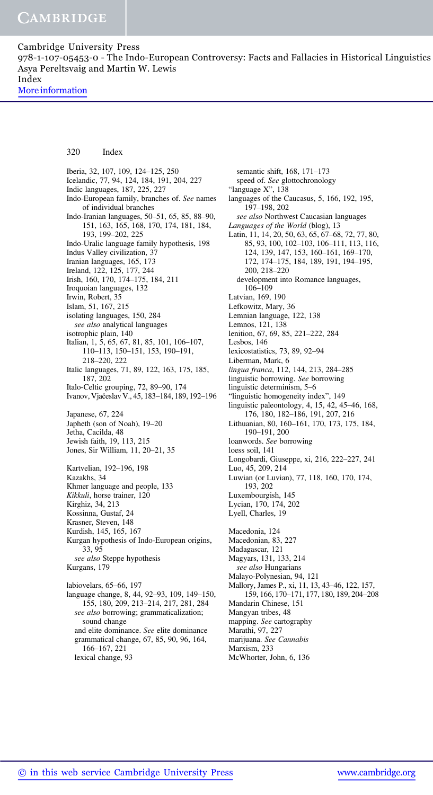978-1-107-05453-0 - The Indo-European Controversy: Facts and Fallacies in Historical Linguistics Asya Pereltsvaig and Martin W. Lewis Index

More information

#### 320 Index

Iberia, 32, 107, 109, 124–125, 250 Icelandic, 77, 94, 124, 184, 191, 204, 227 Indic languages, 187, 225, 227 Indo-European family, branches of. See names of individual branches Indo-Iranian languages, 50–51, 65, 85, 88–90, 151, 163, 165, 168, 170, 174, 181, 184, 193, 199–202, 225 Indo-Uralic language family hypothesis, 198 Indus Valley civilization, 37 Iranian languages, 165, 173 Ireland, 122, 125, 177, 244 Irish, 160, 170, 174–175, 184, 211 Iroquoian languages, 132 Irwin, Robert, 35 Islam, 51, 167, 215 isolating languages, 150, 284 see also analytical languages isotrophic plain, 140 Italian, 1, 5, 65, 67, 81, 85, 101, 106–107, 110–113, 150–151, 153, 190–191, 218–220, 222 Italic languages, 71, 89, 122, 163, 175, 185, 187, 202 Italo-Celtic grouping, 72, 89–90, 174 Ivanov, Vjačeslav V., 45, 183–184, 189, 192–196 Japanese, 67, 224 Japheth (son of Noah), 19–20 Jetha, Cacilda, 48 Jewish faith, 19, 113, 215 Jones, Sir William, 11, 20–21, 35 Kartvelian, 192–196, 198 Kazakhs, 34 Khmer language and people, 133 Kikkuli, horse trainer, 120 Kirghiz, 34, 213 Kossinna, Gustaf, 24 Krasner, Steven, 148 Kurdish, 145, 165, 167 Kurgan hypothesis of Indo-European origins, 33, 95 see also Steppe hypothesis Kurgans, 179 labiovelars, 65–66, 197 language change, 8, 44, 92–93, 109, 149–150, 155, 180, 209, 213–214, 217, 281, 284 see also borrowing; grammaticalization; sound change and elite dominance. See elite dominance grammatical change, 67, 85, 90, 96, 164, 166–167, 221 lexical change, 93

semantic shift, 168, 171–173 speed of. See glottochronology "language X", 138 languages of the Caucasus, 5, 166, 192, 195, 197–198, 202 see also Northwest Caucasian languages Languages of the World (blog), 13 Latin, 11, 14, 20, 50, 63, 65, 67–68, 72, 77, 80, 85, 93, 100, 102–103, 106–111, 113, 116, 124, 139, 147, 153, 160–161, 169–170, 172, 174–175, 184, 189, 191, 194–195, 200, 218–220 development into Romance languages, 106–109 Latvian, 169, 190 Lefkowitz, Mary, 36 Lemnian language, 122, 138 Lemnos, 121, 138 lenition, 67, 69, 85, 221–222, 284 Lesbos, 146 lexicostatistics, 73, 89, 92–94 Liberman, Mark, 6 lingua franca, 112, 144, 213, 284–285 linguistic borrowing. See borrowing linguistic determinism, 5–6 "linguistic homogeneity index", 149 linguistic paleontology, 4, 15, 42, 45–46, 168, 176, 180, 182–186, 191, 207, 216 Lithuanian, 80, 160–161, 170, 173, 175, 184, 190–191, 200 loanwords. See borrowing loess soil, 141 Longobardi, Giuseppe, xi, 216, 222–227, 241 Luo, 45, 209, 214 Luwian (or Luvian), 77, 118, 160, 170, 174, 193, 202 Luxembourgish, 145 Lycian, 170, 174, 202 Lyell, Charles, 19 Macedonia, 124 Macedonian, 83, 227 Madagascar, 121 Magyars, 131, 133, 214 see also Hungarians Malayo-Polynesian, 94, 121 Mallory, James P., xi, 11, 13, 43–46, 122, 157, 159, 166, 170–171, 177, 180, 189, 204–208 Mandarin Chinese, 151 Mangyan tribes, 48 mapping. See cartography Marathi, 97, 227 marijuana. See Cannabis Marxism, 233 McWhorter, John, 6, 136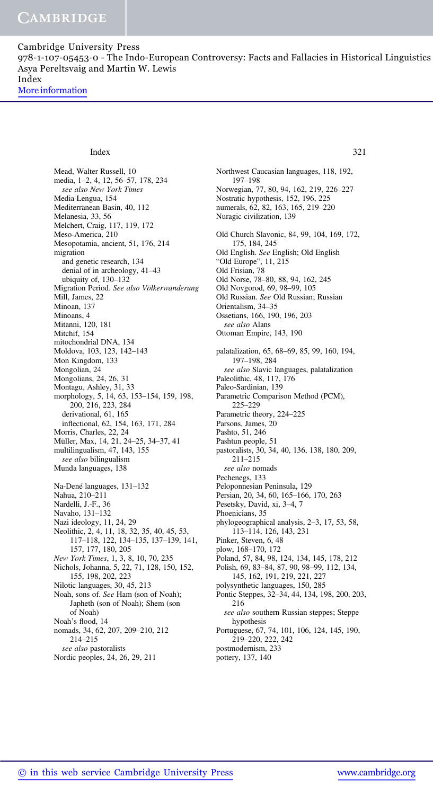978-1-107-05453-0 - The Indo-European Controversy: Facts and Fallacies in Historical Linguistics Asya Pereltsvaig and Martin W. Lewis Index

More information

#### Index 321

Mead, Walter Russell, 10 media, 1–2, 4, 12, 56–57, 178, 234 see also New York Times Media Lengua, 154 Mediterranean Basin, 40, 112 Melanesia, 33, 56 Melchert, Craig, 117, 119, 172 Meso-America, 210 Mesopotamia, ancient, 51, 176, 214 migration and genetic research, 134 denial of in archeology, 41–43 ubiquity of, 130–132 Migration Period. See also Völkerwanderung Mill, James, 22 Minoan, 137 Minoans, 4 Mitanni, 120, 181 Mitchif, 154 mitochondrial DNA, 134 Moldova, 103, 123, 142–143 Mon Kingdom, 133 Mongolian, 24 Mongolians, 24, 26, 31 Montagu, Ashley, 31, 33 morphology, 5, 14, 63, 153–154, 159, 198, 200, 216, 223, 284 derivational, 61, 165 inflectional, 62, 154, 163, 171, 284 Morris, Charles, 22, 24 Müller, Max, 14, 21, 24–25, 34–37, 41 multilingualism, 47, 143, 155 see also bilingualism Munda languages, 138 Na-Dené languages, 131–132 Nahua, 210–211 Nardelli, J.-F., 36 Navaho, 131–132 Nazi ideology, 11, 24, 29 Neolithic, 2, 4, 11, 18, 32, 35, 40, 45, 53, 117–118, 122, 134–135, 137–139, 141, 157, 177, 180, 205 New York Times, 1, 3, 8, 10, 70, 235 Nichols, Johanna, 5, 22, 71, 128, 150, 152, 155, 198, 202, 223 Nilotic languages, 30, 45, 213 Noah, sons of. See Ham (son of Noah); Japheth (son of Noah); Shem (son of Noah) Noah's flood, 14 nomads, 34, 62, 207, 209–210, 212 214–215 see also pastoralists Nordic peoples, 24, 26, 29, 211

197–198 Norwegian, 77, 80, 94, 162, 219, 226–227 Nostratic hypothesis, 152, 196, 225 numerals, 62, 82, 163, 165, 219–220 Nuragic civilization, 139 Old Church Slavonic, 84, 99, 104, 169, 172, 175, 184, 245 Old English. See English; Old English "Old Europe", 11, 215 Old Frisian, 78 Old Norse, 78–80, 88, 94, 162, 245 Old Novgorod, 69, 98–99, 105 Old Russian. See Old Russian; Russian Orientalism, 34–35 Ossetians, 166, 190, 196, 203 see also Alans Ottoman Empire, 143, 190 palatalization, 65, 68–69, 85, 99, 160, 194, 197–198, 284 see also Slavic languages, palatalization Paleolithic, 48, 117, 176 Paleo-Sardinian, 139 Parametric Comparison Method (PCM), 225–229 Parametric theory, 224–225 Parsons, James, 20 Pashto, 51, 246 Pashtun people, 51 pastoralists, 30, 34, 40, 136, 138, 180, 209, 211–215 see also nomads Pechenegs, 133 Peloponnesian Peninsula, 129 Persian, 20, 34, 60, 165–166, 170, 263 Pesetsky, David, xi, 3–4, 7 Phoenicians, 35 phylogeographical analysis, 2–3, 17, 53, 58, 113–114, 126, 143, 231 Pinker, Steven, 6, 48 plow, 168–170, 172 Poland, 57, 84, 98, 124, 134, 145, 178, 212 Polish, 69, 83–84, 87, 90, 98–99, 112, 134, 145, 162, 191, 219, 221, 227 polysynthetic languages, 150, 285 Pontic Steppes, 32–34, 44, 134, 198, 200, 203, 216 see also southern Russian steppes; Steppe hypothesis Portuguese, 67, 74, 101, 106, 124, 145, 190, 219–220, 222, 242

Northwest Caucasian languages, 118, 192,

postmodernism, 233

pottery, 137, 140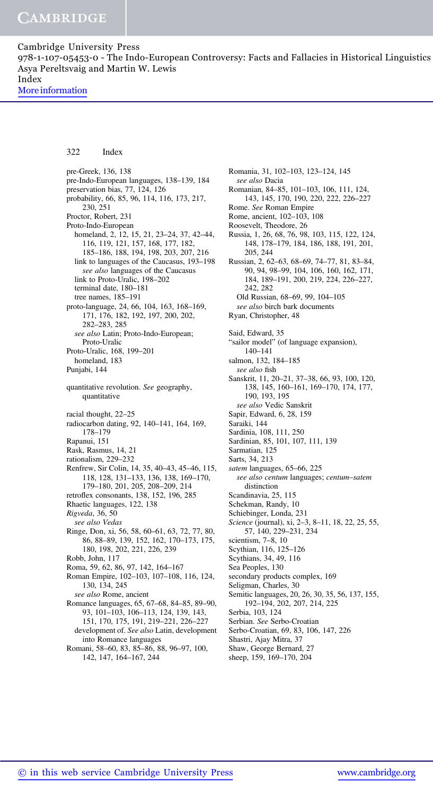978-1-107-05453-0 - The Indo-European Controversy: Facts and Fallacies in Historical Linguistics Asya Pereltsvaig and Martin W. Lewis Index

More information

### 322 Index

pre-Greek, 136, 138 pre-Indo-European languages, 138–139, 184 preservation bias, 77, 124, 126 probability, 66, 85, 96, 114, 116, 173, 217, 230, 251 Proctor, Robert, 231 Proto-Indo-European homeland, 2, 12, 15, 21, 23–24, 37, 42–44, 116, 119, 121, 157, 168, 177, 182, 185–186, 188, 194, 198, 203, 207, 216 link to languages of the Caucasus, 193–198 see also languages of the Caucasus link to Proto-Uralic, 198–202 terminal date, 180–181 tree names, 185–191 proto-language, 24, 66, 104, 163, 168–169, 171, 176, 182, 192, 197, 200, 202, 282–283, 285 see also Latin; Proto-Indo-European; Proto-Uralic Proto-Uralic, 168, 199–201 homeland, 183 Punjabi, 144 quantitative revolution. See geography, quantitative racial thought, 22–25 radiocarbon dating, 92, 140–141, 164, 169, 178–179 Rapanui, 151 Rask, Rasmus, 14, 21 rationalism, 229–232 Renfrew, Sir Colin, 14, 35, 40–43, 45–46, 115, 118, 128, 131–133, 136, 138, 169–170, 179–180, 201, 205, 208–209, 214 retroflex consonants, 138, 152, 196, 285 Rhaetic languages, 122, 138 Rigveda, 36, 50 see also Vedas Ringe, Don, xi, 56, 58, 60–61, 63, 72, 77, 80, 86, 88–89, 139, 152, 162, 170–173, 175, 180, 198, 202, 221, 226, 239 Robb, John, 117 Roma, 59, 62, 86, 97, 142, 164–167 Roman Empire, 102–103, 107–108, 116, 124, 130, 134, 245 see also Rome, ancient Romance languages, 65, 67–68, 84–85, 89–90, 93, 101–103, 106–113, 124, 139, 143, 151, 170, 175, 191, 219–221, 226–227 development of. See also Latin, development into Romance languages Romani, 58–60, 83, 85–86, 88, 96–97, 100, 142, 147, 164–167, 244

Romania, 31, 102–103, 123–124, 145 see also Dacia Romanian, 84–85, 101–103, 106, 111, 124, 143, 145, 170, 190, 220, 222, 226–227 Rome. See Roman Empire Rome, ancient, 102–103, 108 Roosevelt, Theodore, 26 Russia, 1, 26, 68, 76, 98, 103, 115, 122, 124, 148, 178–179, 184, 186, 188, 191, 201, 205, 244 Russian, 2, 62–63, 68–69, 74–77, 81, 83–84, 90, 94, 98–99, 104, 106, 160, 162, 171, 184, 189–191, 200, 219, 224, 226–227, 242, 282 Old Russian, 68–69, 99, 104–105 see also birch bark documents Ryan, Christopher, 48 Said, Edward, 35 "sailor model" (of language expansion), 140–141 salmon, 132, 184–185 see also fish Sanskrit, 11, 20–21, 37–38, 66, 93, 100, 120, 138, 145, 160–161, 169–170, 174, 177, 190, 193, 195 see also Vedic Sanskrit Sapir, Edward, 6, 28, 159 Saraiki, 144 Sardinia, 108, 111, 250 Sardinian, 85, 101, 107, 111, 139 Sarmatian, 125 Sarts, 34, 213 satem languages, 65–66, 225 see also centum languages; centum–satem distinction Scandinavia, 25, 115 Schekman, Randy, 10 Schiebinger, Londa, 231 Science (journal), xi, 2–3, 8–11, 18, 22, 25, 55, 57, 140, 229–231, 234 scientism, 7–8, 10 Scythian, 116, 125–126 Scythians, 34, 49, 116 Sea Peoples, 130 secondary products complex, 169 Seligman, Charles, 30 Semitic languages, 20, 26, 30, 35, 56, 137, 155, 192–194, 202, 207, 214, 225 Serbia, 103, 124 Serbian. See Serbo-Croatian Serbo-Croatian, 69, 83, 106, 147, 226

Shastri, Ajay Mitra, 37

- Shaw, George Bernard, 27
- sheep, 159, 169–170, 204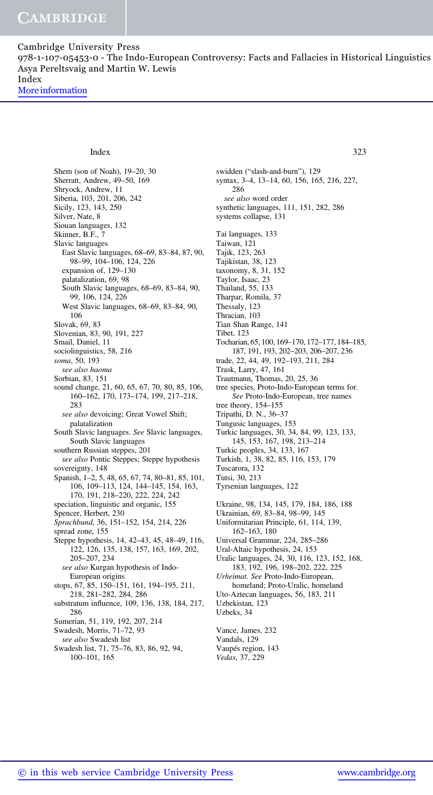978-1-107-05453-0 - The Indo-European Controversy: Facts and Fallacies in Historical Linguistics Asya Pereltsvaig and Martin W. Lewis Index

More information

Shem (son of Noah), 19–20, 30 Sherratt, Andrew, 49–50, 169 Shryock, Andrew, 11 Siberia, 103, 201, 206, 242 Sicily, 123, 143, 250 Silver, Nate, 8 Siouan languages, 132 Skinner, B.F., 7 Slavic languages East Slavic languages, 68–69, 83–84, 87, 90, 98–99, 104–106, 124, 226 expansion of, 129–130 palatalization, 69, 98 South Slavic languages, 68–69, 83–84, 90, 99, 106, 124, 226 West Slavic languages, 68–69, 83–84, 90, 106 Slovak, 69, 83 Slovenian, 83, 90, 191, 227 Smail, Daniel, 11 sociolinguistics, 58, 216 soma, 50, 193 see also haoma Sorbian, 83, 151 sound change, 21, 60, 65, 67, 70, 80, 85, 106, 160–162, 170, 173–174, 199, 217–218, 283 see also devoicing; Great Vowel Shift; palatalization South Slavic languages. See Slavic languages, South Slavic languages southern Russian steppes, 201 see also Pontic Steppes; Steppe hypothesis sovereignty, 148 Spanish, 1–2, 5, 48, 65, 67, 74, 80–81, 85, 101, 106, 109–113, 124, 144–145, 154, 163, 170, 191, 218–220, 222, 224, 242 speciation, linguistic and organic, 155 Spencer, Herbert, 230 Sprachbund, 36, 151–152, 154, 214, 226 spread zone, 155 Steppe hypothesis, 14, 42–43, 45, 48–49, 116, 122, 126, 135, 138, 157, 163, 169, 202, 205–207, 234 see also Kurgan hypothesis of Indo-European origins stops, 67, 85, 150–151, 161, 194–195, 211, 218, 281–282, 284, 286 substratum influence, 109, 136, 138, 184, 217, 286 Sumerian, 51, 119, 192, 207, 214 Swadesh, Morris, 71–72, 93 see also Swadesh list Swadesh list, 71, 75–76, 83, 86, 92, 94, 100–101, 165

swidden ("slash-and-burn"), 129 syntax, 3–4, 13–14, 60, 156, 165, 216, 227, 286 see also word order synthetic languages, 111, 151, 282, 286 systems collapse, 131 Tai languages, 133 Taiwan, 121 Tajik, 123, 263 Tajikistan, 38, 123 taxonomy, 8, 31, 152 Taylor, Isaac, 23 Thailand, 55, 133 Tharpar, Romila, 37 Thessaly, 123 Thracian, 103 Tian Shan Range, 141 Tibet, 123 Tocharian, 65, 100, 169–170, 172–177, 184–185, 187, 191, 193, 202–203, 206–207, 236 trade, 22, 44, 49, 192–193, 211, 284 Trask, Larry, 47, 161 Trautmann, Thomas, 20, 25, 36 tree species, Proto-Indo-European terms for. See Proto-Indo-European, tree names tree theory, 154–155 Tripathi, D. N., 36–37 Tungusic languages, 153 Turkic languages, 30, 34, 84, 99, 123, 133, 145, 153, 167, 198, 213–214 Turkic peoples, 34, 133, 167 Turkish, 1, 38, 82, 85, 116, 153, 179 Tuscarora, 132 Tutsi, 30, 213 Tyrsenian languages, 122 Ukraine, 98, 134, 145, 179, 184, 186, 188 Ukrainian, 69, 83–84, 98–99, 145 Uniformitarian Principle, 61, 114, 139, 162–163, 180 Universal Grammar, 224, 285–286 Ural-Altaic hypothesis, 24, 153 Uralic languages, 24, 30, 116, 123, 152, 168, 183, 192, 196, 198–202, 222, 225 Urheimat. See Proto-Indo-European, homeland; Proto-Uralic, homeland Uto-Aztecan languages, 56, 183, 211 Uzbekistan, 123 Uzbeks, 34 Vance, James, 232 Index 323

Vandals, 129 Vaupés region, 143 Vedas, 37, 229